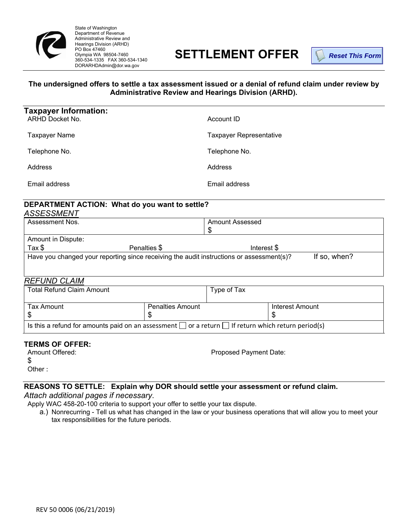

State of Washington Department of Revenue Administrative Review and Hearings Division (ARHD) PO Box 47460 Olympia WA 98504-7460 360-534-1335 FAX 360-534-1340 DORARHDAdmin@dor.wa.gov

# **SETTLEMENT OFFER**

**Reset This Form**

#### **The undersigned offers to settle a tax assessment issued or a denial of refund claim under review by Administrative Review and Hearings Division (ARHD).**

| <b>Taxpayer Information:</b><br><b>ARHD Docket No.</b> | Account ID                     |
|--------------------------------------------------------|--------------------------------|
| Taxpayer Name                                          | <b>Taxpayer Representative</b> |
| Telephone No.                                          | Telephone No.                  |
| <b>Address</b>                                         | Address                        |
| Email address                                          | Email address                  |

#### **DEPARTMENT ACTION: What do you want to settle?**  *ASSESSMENT*

| Assessment Nos.                                                                                          |              | Amount Assessed |  |
|----------------------------------------------------------------------------------------------------------|--------------|-----------------|--|
|                                                                                                          |              | S               |  |
| Amount in Dispute:                                                                                       |              |                 |  |
| Tax \$                                                                                                   | Penalties \$ | Interest \$     |  |
| If so, when?<br>Have you changed your reporting since receiving the audit instructions or assessment(s)? |              |                 |  |

## *REFUND CLAIM*

| <b>Total Refund Claim Amount</b>                                                                              |                         | Type of Tax |                 |  |  |
|---------------------------------------------------------------------------------------------------------------|-------------------------|-------------|-----------------|--|--|
| Tax Amount                                                                                                    | <b>Penalties Amount</b> |             | Interest Amount |  |  |
| Is this a refund for amounts paid on an assessment $\Box$ or a return $\Box$ If return which return period(s) |                         |             |                 |  |  |

## **TERMS OF OFFER:**

Amount Offered: \$ Other :

Proposed Payment Date:

## **REASONS TO SETTLE: Explain why DOR should settle your assessment or refund claim.**

*Attach additional pages if necessary*. Apply WAC 458-20-100 criteria to support your offer to settle your tax dispute.

a.) Nonrecurring - Tell us what has changed in the law or your business operations that will allow you to meet your tax responsibilities for the future periods.